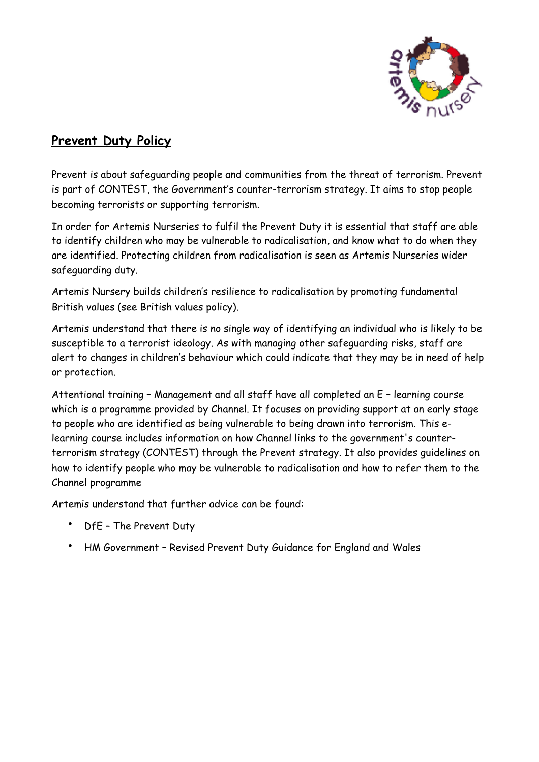

# **Prevent Duty Policy**

Prevent is about safeguarding people and communities from the threat of terrorism. Prevent is part of CONTEST, the Government's counter-terrorism strategy. It aims to stop people becoming terrorists or supporting terrorism.

In order for Artemis Nurseries to fulfil the Prevent Duty it is essential that staff are able to identify children who may be vulnerable to radicalisation, and know what to do when they are identified. Protecting children from radicalisation is seen as Artemis Nurseries wider safeguarding duty.

Artemis Nursery builds children's resilience to radicalisation by promoting fundamental British values (see British values policy).

Artemis understand that there is no single way of identifying an individual who is likely to be susceptible to a terrorist ideology. As with managing other safeguarding risks, staff are alert to changes in children's behaviour which could indicate that they may be in need of help or protection.

Attentional training – Management and all staff have all completed an E – learning course which is a programme provided by Channel. It focuses on providing support at an early stage to people who are identified as being vulnerable to being drawn into terrorism. This elearning course includes information on how Channel links to the government's counterterrorism strategy (CONTEST) through the Prevent strategy. It also provides guidelines on how to identify people who may be vulnerable to radicalisation and how to refer them to the Channel programme

Artemis understand that further advice can be found:

- DfE The Prevent Duty
- HM Government Revised Prevent Duty Guidance for England and Wales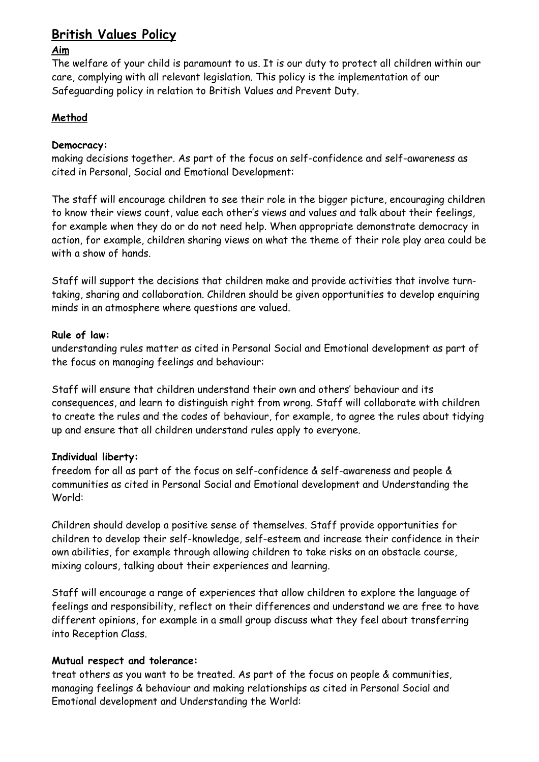## **British Values Policy**

#### **Aim**

The welfare of your child is paramount to us. It is our duty to protect all children within our care, complying with all relevant legislation. This policy is the implementation of our Safeguarding policy in relation to British Values and Prevent Duty.

### **Method**

#### **Democracy:**

making decisions together. As part of the focus on self-confidence and self-awareness as cited in Personal, Social and Emotional Development:

The staff will encourage children to see their role in the bigger picture, encouraging children to know their views count, value each other's views and values and talk about their feelings, for example when they do or do not need help. When appropriate demonstrate democracy in action, for example, children sharing views on what the theme of their role play area could be with a show of hands.

Staff will support the decisions that children make and provide activities that involve turntaking, sharing and collaboration. Children should be given opportunities to develop enquiring minds in an atmosphere where questions are valued.

#### **Rule of law:**

understanding rules matter as cited in Personal Social and Emotional development as part of the focus on managing feelings and behaviour:

Staff will ensure that children understand their own and others' behaviour and its consequences, and learn to distinguish right from wrong. Staff will collaborate with children to create the rules and the codes of behaviour, for example, to agree the rules about tidying up and ensure that all children understand rules apply to everyone.

#### **Individual liberty:**

freedom for all as part of the focus on self-confidence & self-awareness and people & communities as cited in Personal Social and Emotional development and Understanding the World:

Children should develop a positive sense of themselves. Staff provide opportunities for children to develop their self-knowledge, self-esteem and increase their confidence in their own abilities, for example through allowing children to take risks on an obstacle course, mixing colours, talking about their experiences and learning.

Staff will encourage a range of experiences that allow children to explore the language of feelings and responsibility, reflect on their differences and understand we are free to have different opinions, for example in a small group discuss what they feel about transferring into Reception Class.

#### **Mutual respect and tolerance:**

treat others as you want to be treated. As part of the focus on people & communities, managing feelings & behaviour and making relationships as cited in Personal Social and Emotional development and Understanding the World: